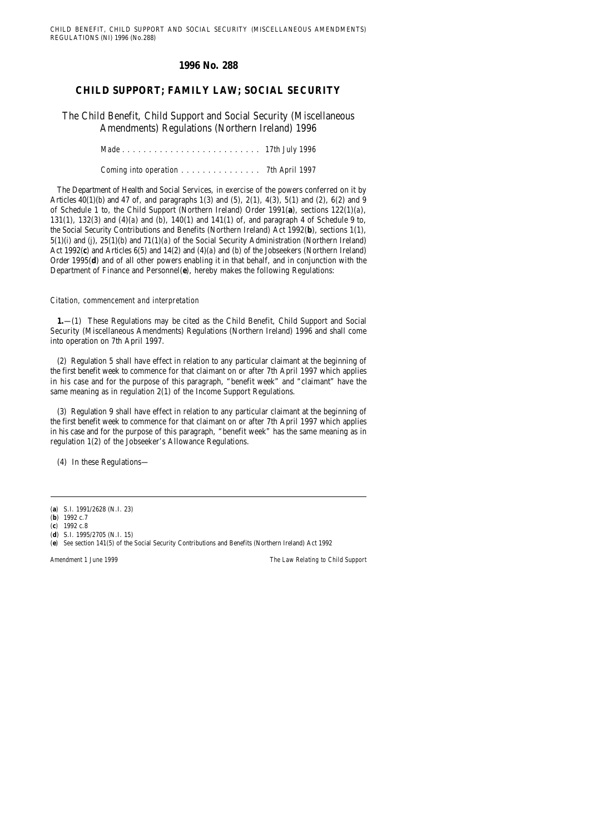*Amendment 1 June 1999 The Law Relating to Child Support*

# **1996 No. 288**

# **CHILD SUPPORT; FAMILY LAW; SOCIAL SECURITY**

The Child Benefit, Child Support and Social Security (Miscellaneous Amendments) Regulations (Northern Ireland) 1996

*Made .......................... 17th July 1996*

*Coming into operation ............... 7th April 1997*

The Department of Health and Social Services, in exercise of the powers conferred on it by Articles 40(1)(*b*) and 47 of, and paragraphs 1(3) and (5), 2(1), 4(3), 5(1) and (2), 6(2) and 9 of Schedule 1 to, the Child Support (Northern Ireland) Order 1991(**a**), sections 122(1)(*a*), 131(1), 132(3) and (4)(*a*) and (*b*), 140(1) and 141(1) of, and paragraph 4 of Schedule 9 to, the Social Security Contributions and Benefits (Northern Ireland) Act 1992(**b**), sections 1(1), 5(1)(*i*) and (*j*), 25(1)(*b*) and 71(1)(*a*) of the Social Security Administration (Northern Ireland) Act 1992(**c**) and Articles 6(5) and 14(2) and (4)(*a*) and (*b*) of the Jobseekers (Northern Ireland) Order 1995(**d**) and of all other powers enabling it in that behalf, and in conjunction with the Department of Finance and Personnel(**e**), hereby makes the following Regulations:

#### *Citation, commencement and interpretation*

**1.**—(1) These Regulations may be cited as the Child Benefit, Child Support and Social Security (Miscellaneous Amendments) Regulations (Northern Ireland) 1996 and shall come into operation on 7th April 1997.

(2) Regulation 5 shall have effect in relation to any particular claimant at the beginning of the first benefit week to commence for that claimant on or after 7th April 1997 which applies in his case and for the purpose of this paragraph, "benefit week" and "claimant" have the same meaning as in regulation 2(1) of the Income Support Regulations.

(3) Regulation 9 shall have effect in relation to any particular claimant at the beginning of the first benefit week to commence for that claimant on or after 7th April 1997 which applies in his case and for the purpose of this paragraph, "benefit week" has the same meaning as in regulation 1(2) of the Jobseeker's Allowance Regulations.

(4) In these Regulations—

<sup>(</sup>**a**) S.I. 1991/2628 (N.I. 23)

<sup>(</sup>**b**) 1992 c.7

<sup>(</sup>**c**) 1992 c.8

<sup>(</sup>**d**) S.I. 1995/2705 (N.I. 15)

<sup>(</sup>**e**) *See* section 141(5) of the Social Security Contributions and Benefits (Northern Ireland) Act 1992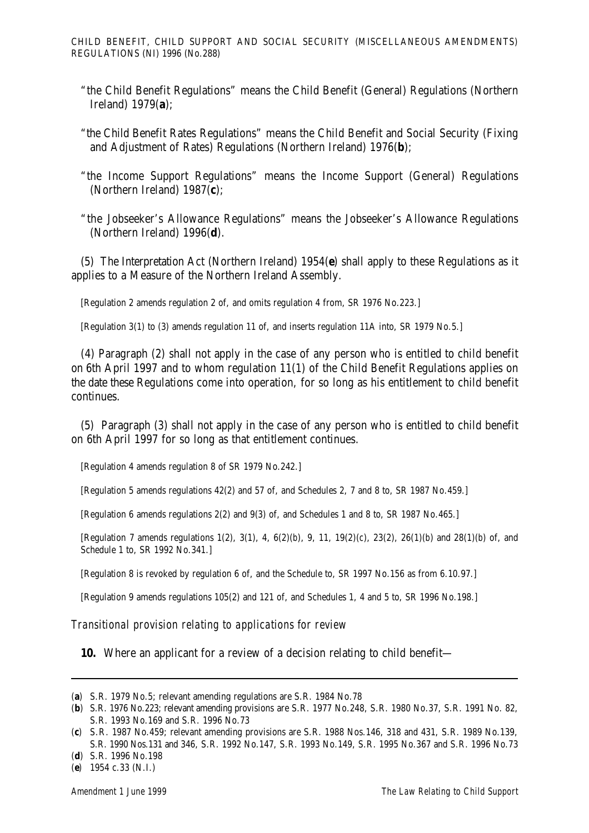- "the Child Benefit Regulations" means the Child Benefit (General) Regulations (Northern Ireland) 1979(**a**);
- "the Child Benefit Rates Regulations" means the Child Benefit and Social Security (Fixing and Adjustment of Rates) Regulations (Northern Ireland) 1976(**b**);
- "the Income Support Regulations" means the Income Support (General) Regulations (Northern Ireland) 1987(**c**);
- "the Jobseeker's Allowance Regulations" means the Jobseeker's Allowance Regulations (Northern Ireland) 1996(**d**).

(5) The Interpretation Act (Northern Ireland) 1954(**e**) shall apply to these Regulations as it applies to a Measure of the Northern Ireland Assembly.

[Regulation 2 amends regulation 2 of, and omits regulation 4 from, SR 1976 No.223.]

[Regulation 3(1) to (3) amends regulation 11 of, and inserts regulation 11A into, SR 1979 No.5.]

(4) Paragraph (2) shall not apply in the case of any person who is entitled to child benefit on 6th April 1997 and to whom regulation 11(1) of the Child Benefit Regulations applies on the date these Regulations come into operation, for so long as his entitlement to child benefit continues.

(5) Paragraph (3) shall not apply in the case of any person who is entitled to child benefit on 6th April 1997 for so long as that entitlement continues.

[Regulation 4 amends regulation 8 of SR 1979 No.242.]

[Regulation 5 amends regulations 42(2) and 57 of, and Schedules 2, 7 and 8 to, SR 1987 No.459.]

[Regulation 6 amends regulations 2(2) and 9(3) of, and Schedules 1 and 8 to, SR 1987 No.465.]

[Regulation 7 amends regulations 1(2), 3(1), 4, 6(2)(*b*), 9, 11, 19(2)(*c*), 23(2), 26(1)(*b*) and 28(1)(*b*) of, and Schedule 1 to, SR 1992 No.341.]

[Regulation 8 is revoked by regulation 6 of, and the Schedule to, SR 1997 No.156 as from 6.10.97.]

[Regulation 9 amends regulations 105(2) and 121 of, and Schedules 1, 4 and 5 to, SR 1996 No.198.]

*Transitional provision relating to applications for review*

**10.** Where an applicant for a review of a decision relating to child benefit—

<sup>(</sup>**a**) S.R. 1979 No.5; relevant amending regulations are S.R. 1984 No.78

<sup>(</sup>**b**) S.R. 1976 No.223; relevant amending provisions are S.R. 1977 No.248, S.R. 1980 No.37, S.R. 1991 No. 82, S.R. 1993 No.169 and S.R. 1996 No.73

<sup>(</sup>**c**) S.R. 1987 No.459; relevant amending provisions are S.R. 1988 Nos.146, 318 and 431, S.R. 1989 No.139, S.R. 1990 Nos.131 and 346, S.R. 1992 No.147, S.R. 1993 No.149, S.R. 1995 No.367 and S.R. 1996 No.73

<sup>(</sup>**d**) S.R. 1996 No.198

<sup>(</sup>**e**) 1954 c.33 (N.I.)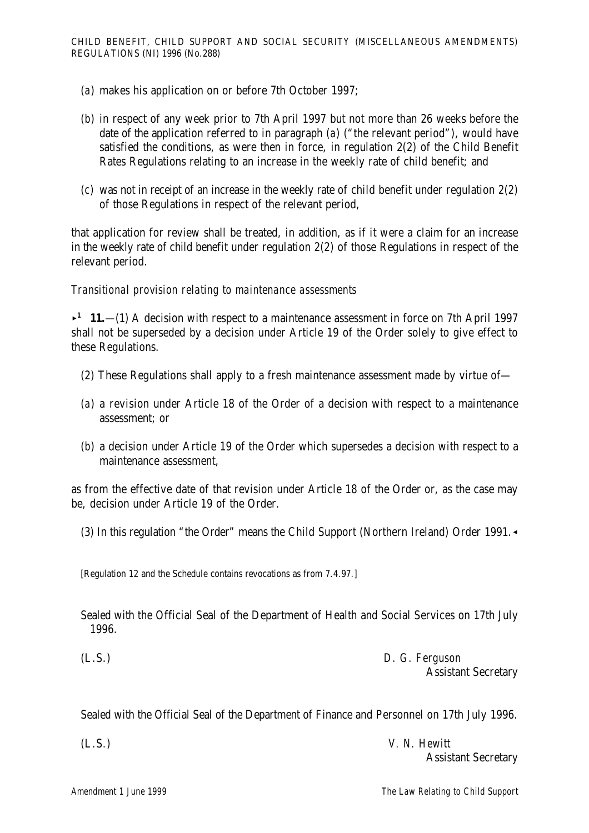- (*a*) makes his application on or before 7th October 1997;
- (*b*) in respect of any week prior to 7th April 1997 but not more than 26 weeks before the date of the application referred to in paragraph (*a*) ("the relevant period"), would have satisfied the conditions, as were then in force, in regulation 2(2) of the Child Benefit Rates Regulations relating to an increase in the weekly rate of child benefit; and
- (*c*) was not in receipt of an increase in the weekly rate of child benefit under regulation 2(2) of those Regulations in respect of the relevant period,

that application for review shall be treated, in addition, as if it were a claim for an increase in the weekly rate of child benefit under regulation 2(2) of those Regulations in respect of the relevant period.

### *Transitional provision relating to maintenance assessments*

 $\rightarrow$  **11.**—(1) A decision with respect to a maintenance assessment in force on 7th April 1997 shall not be superseded by a decision under Article 19 of the Order solely to give effect to these Regulations.

- (2) These Regulations shall apply to a fresh maintenance assessment made by virtue of—
- (*a*) a revision under Article 18 of the Order of a decision with respect to a maintenance assessment; or
- (*b*) a decision under Article 19 of the Order which supersedes a decision with respect to a maintenance assessment,

as from the effective date of that revision under Article 18 of the Order or, as the case may be, decision under Article 19 of the Order.

(3) In this regulation "the Order" means the Child Support (Northern Ireland) Order 1991. $\triangleleft$ 

[Regulation 12 and the Schedule contains revocations as from 7.4.97.]

Sealed with the Official Seal of the Department of Health and Social Services on 17th July 1996.

(L.S.) *D. G. Ferguson*  Assistant Secretary

Sealed with the Official Seal of the Department of Finance and Personnel on 17th July 1996.

| (L.S.) | V. N. Hewitt               |
|--------|----------------------------|
|        | <b>Assistant Secretary</b> |

*Amendment 1 June 1999 The Law Relating to Child Support*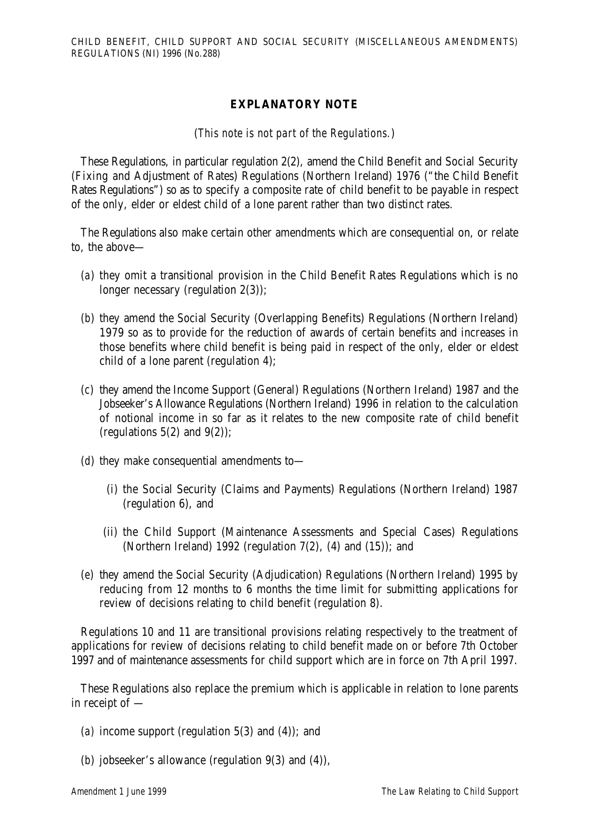## **EXPLANATORY NOTE**

(*This note is not part of the Regulations.*)

These Regulations, in particular regulation 2(2), amend the Child Benefit and Social Security (Fixing and Adjustment of Rates) Regulations (Northern Ireland) 1976 ("the Child Benefit Rates Regulations") so as to specify a composite rate of child benefit to be payable in respect of the only, elder or eldest child of a lone parent rather than two distinct rates.

The Regulations also make certain other amendments which are consequential on, or relate to, the above—

- (*a*) they omit a transitional provision in the Child Benefit Rates Regulations which is no longer necessary (regulation 2(3));
- (*b*) they amend the Social Security (Overlapping Benefits) Regulations (Northern Ireland) 1979 so as to provide for the reduction of awards of certain benefits and increases in those benefits where child benefit is being paid in respect of the only, elder or eldest child of a lone parent (regulation 4);
- (*c*) they amend the Income Support (General) Regulations (Northern Ireland) 1987 and the Jobseeker's Allowance Regulations (Northern Ireland) 1996 in relation to the calculation of notional income in so far as it relates to the new composite rate of child benefit (regulations  $5(2)$  and  $9(2)$ ):
- (*d*) they make consequential amendments to—
	- (i) the Social Security (Claims and Payments) Regulations (Northern Ireland) 1987 (regulation 6), and
	- (ii) the Child Support (Maintenance Assessments and Special Cases) Regulations (Northern Ireland) 1992 (regulation  $7(2)$ ,  $(4)$  and  $(15)$ ); and
- (*e*) they amend the Social Security (Adjudication) Regulations (Northern Ireland) 1995 by reducing from 12 months to 6 months the time limit for submitting applications for review of decisions relating to child benefit (regulation 8).

Regulations 10 and 11 are transitional provisions relating respectively to the treatment of applications for review of decisions relating to child benefit made on or before 7th October 1997 and of maintenance assessments for child support which are in force on 7th April 1997.

These Regulations also replace the premium which is applicable in relation to lone parents in receipt of —

- (*a)* income support (regulation 5(3) and (4)); and
- (*b*) jobseeker's allowance (regulation 9(3) and (4)),